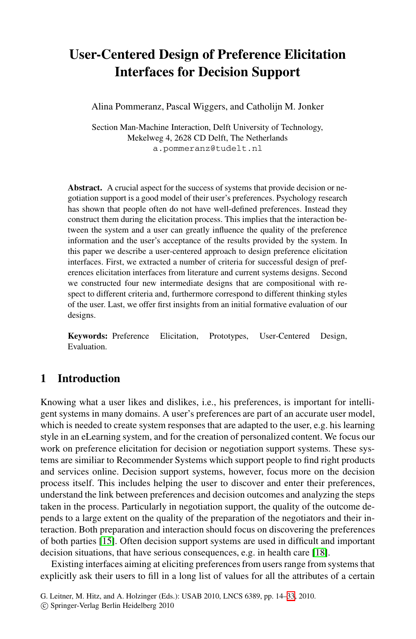# **User-Centered Design of Preference Elicitation Interfaces for Decision Support**

Alina Pommeranz, Pascal Wiggers, and Catholijn M. Jonker

Section Man-Machine Interaction, Delft University of Technology, Mekelweg 4, 2628 CD Delft, The Netherlands a.pommeranz@tudelt.nl

**Abstract.** A crucial aspect for the success of systems that provide decision or negotiation support is a good model of their user's preferences. Psychology research has shown that people often do not have well-defined preferences. Instead they construct them during the elicitation process. This implies that the interaction between the system and a user can greatly influence the quality of the preference information and the user's acceptance of the results provided by the system. In this paper we describe a user-centered approach to design preference elicitation interfaces. First, we extracted a number of criteria for successful design of preferences elicitation interfaces from literature and current systems designs. Second we constructed four new intermediate designs that are compositional with respect to different criteria and, furthermore correspond to different thinking styles of the user. Last, we offer first insights from an initial formative evaluation of our designs.

**Keywords:** Preference Elicitation, Prototypes, User-Centered Design, Evaluation.

### **1 Introduction**

Knowing what a user likes and dislikes, i.e., his preferences, is important for intelligent systems in many domains. A user's preferences are part of an accurate user model, which is needed to create system responses that are adapted to the user, e.g. his learning style in an eLearning system, and for the creation of personalized content. We focus our work on preference elicitation for decision or negotiation support systems. These systems are similiar to Recommender Systems which [sup](#page-18-0)port people to find right products and services online. Decision support systems, however, focus more on the decision process itself. This includes helping the user to discover and enter their preferences, understand the link between preferences and decision outcomes and analyzing the steps taken in the process. Particularly in negoti[atio](#page-19-0)n support, the quality of the outcome depends to a large extent on the quality of the preparation of the negotiators and their interaction. Both preparation and interaction should focus on discovering the preferences of both parties [15]. Often decision support systems are used in difficult and important decision situations, that have serious consequences, e.g. in health care [18].

Existing interfaces aiming at eliciting preferences from users range from systems that explicitly ask their users to fill in a long list of values for all the attributes of a certain

G. Leitner, M. Hitz, and A. Holzinger (Eds.): USAB 2010, LNCS 6389, pp. 14–33, 2010.

<sup>-</sup>c Springer-Verlag Berlin Heidelberg 2010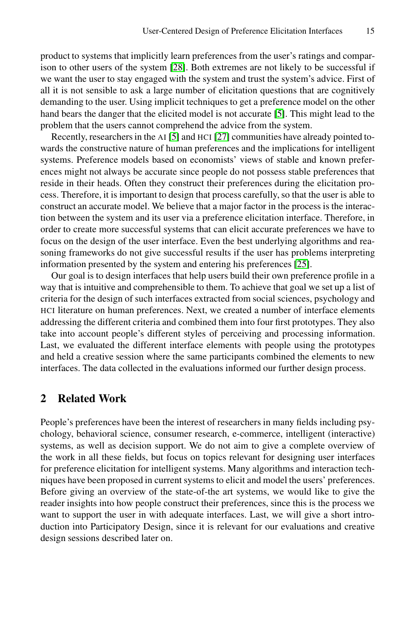product to sy[ste](#page-18-1)ms that i[mpl](#page-19-1)icitly learn preferences from the user's ratings and comparison to other users of the system [28]. Both extremes are not likely to be successful if we want the user to stay engaged with the system and trust the system's advice. First of all it is not sensible to ask a large number of elicitation questions that are cognitively demanding to the user. Using implicit techniques to get a preference model on the other hand bears the danger that the elicited model is not accurate [5]. This might lead to the problem that the users cannot comprehend the advice from the system.

Recently, researchers in the AI [5] and HCI [27] communities have already pointed towards the constructive nature of human preferences and the implications for intelligent systems. Preference models based on economists' views of stable and known preferences might not always be accurate since peo[ple](#page-19-2) do not possess stable preferences that reside in their heads. Often they construct their preferences during the elicitation process. Therefore, it is important to design that process carefully, so that the user is able to construct an accurate model. We believe that a major factor in the process is the interaction between the system and its user via a preference elicitation interface. Therefore, in order to create more successful systems that can elicit accurate preferences we have to focus on the design of the user interface. Even the best underlying algorithms and reasoning frameworks do not give successful results if the user has problems interpreting information presented by the system and entering his preferences [25].

Our goal is to design interfaces that help users build their own preference profile in a way that is intuitive and comprehensible to them. To achieve that goal we set up a list of criteria for the design of such interfaces extracted from social sciences, psychology and HCI literature on human preferences. Next, we created a number of interface elements addressing the different criteria and combined them into four first prototypes. They also take into account people's different styles of perceiving and processing information. Last, we evaluated the different interface elements with people using the prototypes and held a creative session where the same participants combined the elements to new interfaces. The data collected in the evaluations informed our further design process.

### **2 Related Work**

People's preferences have been the interest of researchers in many fields including psychology, behavioral science, consumer research, e-commerce, intelligent (interactive) systems, as well as decision support. We do not aim to give a complete overview of the work in all these fields, but focus on topics relevant for designing user interfaces for preference elicitation for intelligent systems. Many algorithms and interaction techniques have been proposed in current systems to elicit and model the users' preferences. Before giving an overview of the state-of-the art systems, we would like to give the reader insights into how people construct their preferences, since this is the process we want to support the user in with adequate interfaces. Last, we will give a short introduction into Participatory Design, since it is relevant for our evaluations and creative design sessions described later on.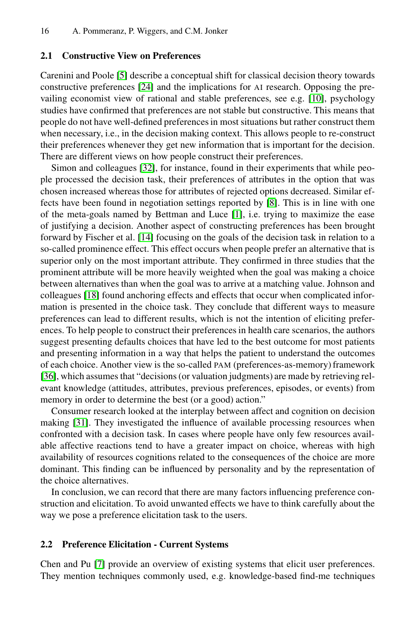#### **2.1 Constructive View on Preferences**

Care[nini](#page-19-3) and Poole [5] describe a conceptual shift for classical decision theory towards constructive preferences [24] and the implications for AI research. Opposing the prevailing economist view of rational and stable preferences, see e.g. [10], psychology studies have confirmed that preference[s a](#page-18-2)re not stable but constructive. This means that people do not have well-defin[ed](#page-18-3) preferences in most situations but rather construct them when necessary, i.e., in the decision making context. This allows people to re-construct their [pre](#page-18-4)ferences whenever they get new information that is important for the decision. There are different views on how people construct their preferences.

Simon and colleagues [32], for instance, found in their experiments that while people processed the decision task, their preferences of attributes in the option that was chosen increased whereas those for attributes of rejected options decreased. Similar effects have been found in negotiation settings reported by [8]. This is in line with one of the meta-goals named by Bettman and Luce [1], i.e. trying to maximize the ease of justifying a decision. Another aspect of constructing preferences has been brought forward by Fischer et al. [14] focusing on the goals of the decision task in relation to a so-called prominence effect. This effect occurs when people prefer an alternative that is superior only on the most important attribute. They confirmed in three studies that the prominent attribute will be more heavily weighted when the goal was making a choice between alternatives than when the goal was to arrive at a matching value. Johnson and colleagues [18] found anchoring effects and effects that occur when complicated information is presented in the choice task. They conclude that different ways to measure preferences can lead to different results, which is not the intention of eliciting preferences. To help people to construct their preferences in health care scenarios, the authors suggest presenting defaults choices that have led to the best outcome for most patients and presenting information in a way that helps the patient to understand the outcomes of each choice. Another view is the so-called PAM (preferences-as-memory) framework [36], which assumes that "decisions (or valuation judgments) are made by retrieving relevant knowledge (attitudes, attributes, previous preferences, episodes, or events) from memory in order to determine the best (or a good) action."

Consumer research looked at the interplay between affect and cognition on decision making [31]. They investigated the influence of available processing resources when confronted with a decision task. In cases where people have only few resources available affective reactions tend to have a greater impact on choice, whereas with high availability of resources cognitions related to the consequences of the choice are more dominant. This finding can be influenced by personality and by the representation of the choice alternatives.

In conclusion, we can record that there are many factors influencing preference construction and elicitation. To avoid unwanted effects we have to think carefully about the way we pose a preference elicitation task to the users.

### **2.2 Preference Elicitation - Current Systems**

Chen and Pu [7] provide an overview of existing systems that elicit user preferences. They mention techniques commonly used, e.g. knowledge-based find-me techniques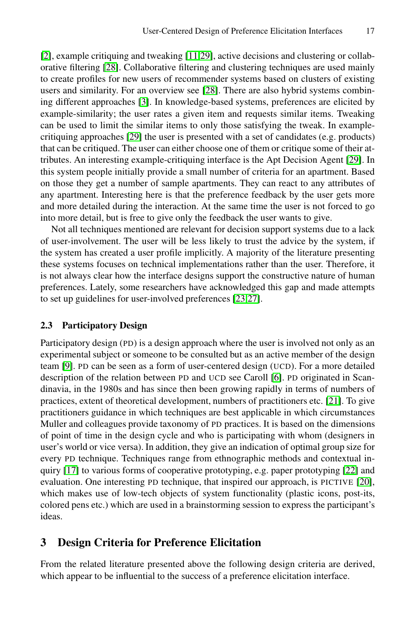[2[\],](#page-19-4) [e](#page-19-4)xample critiquing and tweaking [11,29], active decisions and clustering or collaborative filtering [28]. Collaborative filtering and clustering [tec](#page-19-4)hniques are used mainly to create profiles for new users of recommender systems based on clusters of existing users and similarity. For an overview see [28]. There are also hybrid systems combining different approaches [3]. In knowledge-based systems, preferences are elicited by example-similarity; the user rates a given item and requests similar items. Tweaking can be used to limit the similar items to only those satisfying the tweak. In examplecritiquing approaches [29] the user is presented with a set of candidates (e.g. products) that can be critiqued. The user can either choose one of them or critique some of their attributes. An interesting example-critiquing interface is the Apt Decision Agent [29]. In this system people initially provide a small number of criteria for an apartment. Based on those they get a number of sample apartments. They can react to any attributes of any apartment. Interesting here is that the preference feedback by the user gets more and more detailed during the [int](#page-19-5)[erac](#page-19-1)tion. At the same time the user is not forced to go into more detail, but is free to give only the feedback the user wants to give.

Not all techniques mentioned are relevant for decision support systems due to a lack of user-involvement. The user will be less likely to trust the advice by the system, if the system has created a user profile implicitly. A majority of the literature presenting these systems focuses on technical implementations rather than the user. Therefore, it is not always clear how the interface designs support the constructive nature of human preferences. Lately, some researchers h[av](#page-18-5)e acknowledged this gap and made attempts to set up guidelines for user-involved preferences [23,27].

#### **2.3 Participatory Design**

Participatory design (PD) is a design approach where the user is involved not only as an experimental subject or someone to be consulted but as an active member of the design team [9]. PD can be seen as a form of user-centered design (UCD). For a more detailed description of the relation between PD and UCD see Caro[ll \[6](#page-19-6)]. PD originated in Scandinavia, in the 1980s and has since then been growing rapidl[y in](#page-19-7) terms of numbers of practices, extent of theoretical development, numbers of practitioners etc. [21]. To give practitioners guidance in which techniques are best applicable in which circumstances Muller and colleagues provide taxonomy of PD practices. It is based on the dimensions of point of time in the design cycle and who is participating with whom (designers in user's world or vice versa). In addition, they give an indication of optimal group size for every PD technique. Techniques range from ethnographic methods and contextual inquiry  $[17]$  to various forms of cooperative prototyping, e.g. paper prototyping  $[22]$  and evaluation. One interesting PD technique, that inspired our approach, is PICTIVE [20], which makes use of low-tech objects of system functionality (plastic icons, post-its, colored pens etc.) which are used in a brainstorming session to express the participant's ideas.

# **3 Design Criteria for Preference Elicitation**

From the related literature presented above the following design criteria are derived, which appear to be influential to the success of a preference elicitation interface.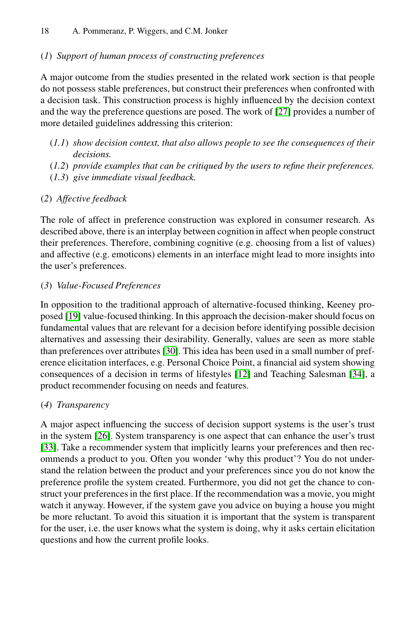#### 18 A. Pommeranz, P. Wiggers, and C.M. Jonker

### (*1*) *Support of human process of constructing preferences*

A major outcome from the studies presented in the related work section is that people do not possess stable preferences, but construct their preferences when confronted with a decision task. This construction process is highly influenced by the decision context and the way the preference questions are posed. The work of [27] provides a number of more detailed guidelines addressing this criterion:

### (*1.1*) *show decision context, that also allows people to see the consequences of their decisions.*

(*1.2*) *provide examples that can be critiqued by the users to refine their preferences.* (*1.3*) *give immediate visual feedback.*

#### (*2*) *Affective feedback*

The role of affect in preference construction was explored in consumer research. As described above, there is an interplay between cognition in affect when people construct their preferences. Therefore, combining cognitive (e.g. choosing from a list of values) and affective (e.g. emoticons) elements in an interface might lead to more insights into the user's p[refe](#page-19-8)rences.

### (*3*) *Value-Focused Preference[s](#page-18-6)*

In opposition to the traditional approach of alternative-focused thinking, Keeney proposed [19] value-focused thinking. In this approach the decision-maker should focus on fundamental values that are relevant for a decision before identifying possible decision alternatives and assessing their desirability. Generally, values are seen as more stable than preferences over attributes [30]. This idea has been used in a small number of preference elicitation interfaces, e.g. Personal Choice Point, a financial aid system showing consequences of a decision in terms of lifestyles [12] and Teaching Salesman [34], a product recommender focusing on needs and features.

### (*4*) *Transparency*

A major aspect influencing the success of decision support systems is the user's trust in the system [26]. System transparency is one aspect that can enhance the user's trust [33]. Take a recommender system that implicitly learns your preferences and then recommends a product to you. Often you wonder 'why this product'? You do not understand the relation between the product and your preferences since you do not know the preference profile the system created. Furthermore, you did not get the chance to construct your preferences in the first place. If the recommendation was a movie, you might watch it anyway. However, if the system gave you advice on buying a house you might be more reluctant. To avoid this situation it is important that the system is transparent for the user, i.e. the user knows what the system is doing, why it asks certain elicitation questions and how the current profile looks.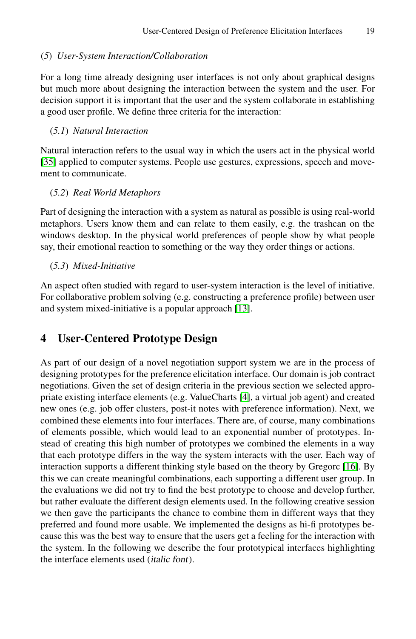#### (*5*) *User-System Interaction/Collaboration*

For a long time already designing user interfaces is not only about graphical designs but much more about designing the interaction between the system and the user. For decision support it is important that the user and the system collaborate in establishing a good user profile. We define three criteria for the interaction:

#### (*5.1*) *Natural Interaction*

Natural interaction refers to the usual way in which the users act in the physical world [35] applied to computer systems. People use gestures, expressions, speech and movement to communicate.

### (*5.2*) *Real World Metaphors*

Part of designing the interaction with a system as natural as possible is using real-world metaphors. Users know them [an](#page-18-7)d can relate to them easily, e.g. the trashcan on the windows desktop. In the physical world preferences of people show by what people say, their emotional reaction to something or the way they order things or actions.

#### (*5.3*) *Mixed-Initiative*

An aspect often studied with regard to user-system interaction is the level of initiative. For collaborative problem solving (e.g. constructing a preference profile) between user and system mixed-initiative is [a p](#page-18-8)opular approach [13].

### **4 User-Centered Prototype Design**

As part of our design of a novel negotiation support system we are in the process of designing prototypes for the preference elicitation interfac[e. O](#page-18-9)ur domain is job contract negotiations. Given the set of design criteria in the previous section we selected appropriate existing interface elements (e.g. ValueCharts [4], a virtual job agent) and created new ones (e.g. job offer clusters, post-it notes with preference information). Next, we combined these elements into four interfaces. There are, of course, many combinations of elements possible, which would lead to an exponential number of prototypes. Instead of creating this high number of prototypes we combined the elements in a way that each prototype differs in the way the system interacts with the user. Each way of interaction supports a different thinking style based on the theory by Gregorc [16]. By this we can create meaningful combinations, each supporting a different user group. In the evaluations we did not try to find the best prototype to choose and develop further, but rather evaluate the different design elements used. In the following creative session we then gave the participants the chance to combine them in different ways that they preferred and found more usable. We implemented the designs as hi-fi prototypes because this was the best way to ensure that the users get a feeling for the interaction with the system. In the following we describe the four prototypical interfaces highlighting the interface elements used (italic font).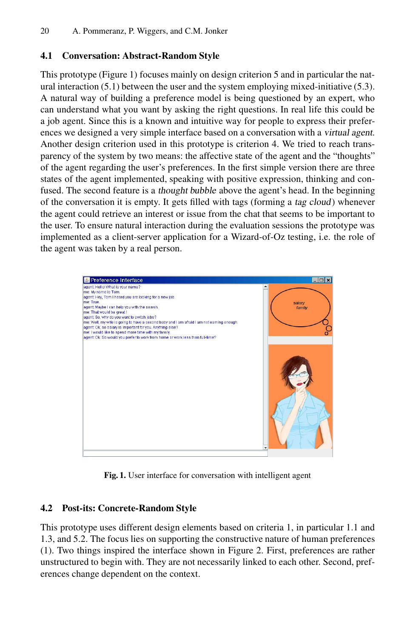### **4.1 Conversation: Abstract-Random Style**

This prototype (Figure 1) focuses mainly on design criterion 5 and in particular the natural interaction (5.1) between the user and the system employing mixed-initiative (5.3). A natural way of building a preference model is being questioned by an expert, who can understand what you want by asking the right questions. In real life this could be a job agent. Since this is a known and intuitive way for people to express their preferences we designed a very simple interface based on a conversation with a virtual agent. Another design criterion used in this prototype is criterion 4. We tried to reach transparency of the system by two means: the affective state of the agent and the "thoughts" of the agent regarding the user's preferences. In the first simple version there are three states of the agent implemented, speaking with positive expression, thinking and confused. The second feature is a thought bubble above the agent's head. In the beginning of the conversation it is empty. It gets filled with tags (forming a tag cloud) whenever the agent could retrieve an interest or issue from the chat that seems to be important to the user. To ensure natural interaction during the evaluation sessions the prototype was implemented as a client-server application for a Wizard-of-Oz testing, i.e. the role of the agent was taken by a real person.



**Fig. 1.** User interface for conversation with intelligent agent

### **4.2 Post-its: Concrete-Random Style**

This prototype uses different design elements based on criteria 1, in particular 1.1 and 1.3, and 5.2. The focus lies on supporting the constructive nature of human preferences (1). Two things inspired the interface shown in Figure 2. First, preferences are rather unstructured to begin with. They are not necessarily linked to each other. Second, preferences change dependent on the context.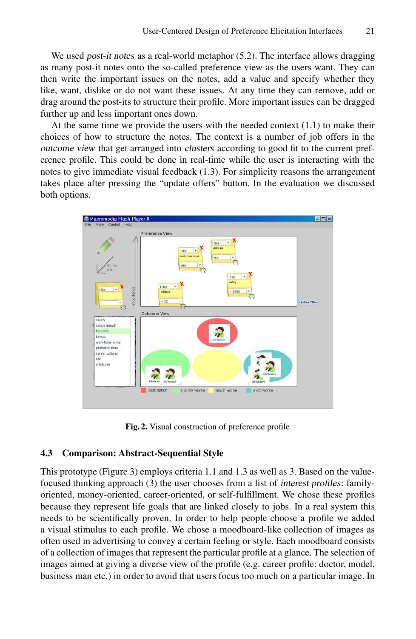We used post-it notes as a real-world metaphor (5.2). The interface allows dragging as many post-it notes onto the so-called preference view as the users want. They can then write the important issues on the notes, add a value and specify whether they like, want, dislike or do not want these issues. At any time they can remove, add or drag around the post-its to structure their profile. More important issues can be dragged further up and less important ones down.

At the same time we provide the users with the needed context  $(1.1)$  to make their choices of how to structure the notes. The context is a number of job offers in the outcome view that get arranged into clusters according to good fit to the current preference profile. This could be done in real-time while the user is interacting with the notes to give immediate visual feedback (1.3). For simplicity reasons the arrangement takes place after pressing the "update offers" button. In the evaluation we discussed both options.



**Fig. 2.** Visual construction of preference profile

#### **4.3 Comparison: Abstract-Sequential Style**

This prototype (Figure 3) employs criteria 1.1 and 1.3 as well as 3. Based on the valuefocused thinking approach (3) the user chooses from a list of interest profiles: familyoriented, money-oriented, career-oriented, or self-fulfillment. We chose these profiles because they represent life goals that are linked closely to jobs. In a real system this needs to be scientifically proven. In order to help people choose a profile we added a visual stimulus to each profile. We chose a moodboard-like collection of images as often used in advertising to convey a certain feeling or style. Each moodboard consists of a collection of images that represent the particular profile at a glance. The selection of images aimed at giving a diverse view of the profile (e.g. career profile: doctor, model, business man etc.) in order to avoid that users focus too much on a particular image. In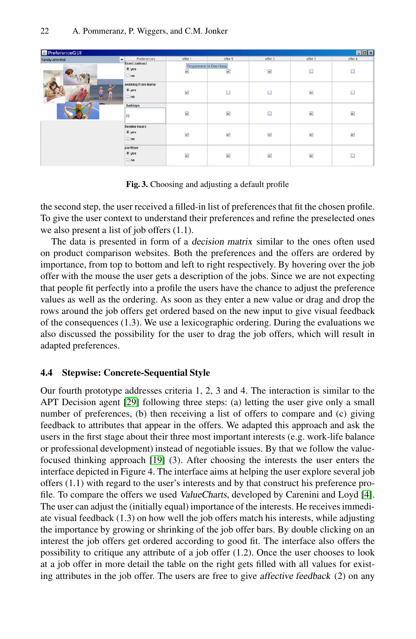#### 22 A. Pommeranz, P. Wiggers, and C.M. Jonker

| PreferenceGUI   |                                                         |                         |                         |                               |                         | $\Box$ D x              |
|-----------------|---------------------------------------------------------|-------------------------|-------------------------|-------------------------------|-------------------------|-------------------------|
| family-oriented | Preferences<br>$\overline{\phantom{0}}$                 | offer 1                 | offer 5                 | offer 3                       | offer 2                 | offer 4                 |
|                 | <b>Tixed contract</b><br>$\bullet$ yes<br>$\bigcirc$ no | Programmer in Den Haag  |                         |                               |                         |                         |
|                 |                                                         | $\overline{\mathbf{r}}$ | $\overline{\mathbf{v}}$ | $\overline{\mathbf{r}}$<br>n. | $\Box$                  | Ξ                       |
|                 | working from home                                       |                         |                         |                               |                         |                         |
|                 | $\bullet$ yes                                           | $\overline{\mathbf{r}}$ | ⊟                       | Đ                             | $\overline{\mathbf{r}}$ | E                       |
|                 | $\bigcirc$ no                                           |                         |                         |                               |                         |                         |
|                 | holidays                                                |                         |                         |                               |                         |                         |
|                 | 25                                                      | $\overline{\mathbf{r}}$ | $\overline{\mathbf{r}}$ | $\square$                     | $\overline{\mathbf{r}}$ | $\overline{\mathbf{K}}$ |
|                 | flexible hours                                          |                         |                         |                               |                         |                         |
|                 | $\bullet$ yes                                           | $\mathbf{v}$            | $\overline{\mathbf{r}}$ | $\overline{\mathbf{r}}$       | $\overline{\mathbf{K}}$ | $\mathbf{r}$            |
|                 | $\bigcirc$ no                                           |                         |                         |                               |                         |                         |
|                 | parttime                                                |                         |                         |                               |                         |                         |
|                 | $\bullet$ yes                                           | $\mathbf{K}$            | $\overline{\mathbf{r}}$ | $\mathbf{v}$                  | $\mathbf{v}$            | $\Box$                  |
|                 | $\bigcirc$ no                                           |                         |                         |                               |                         |                         |

**Fig. 3.** Choosing and adjusting a default profile

the second step, the user received a filled-in list of preferences that fit the chosen profile. To give the user context to understand their preferences and refine the preselected ones we also present a list of job offers (1.1).

The data is presented in form of a decision matrix similar to the ones often used on product comparison websites. Both the preferences and the offers are ordered by importance, from top to bottom and left to right respectively. By hovering over the job offer with the mouse the user gets a description of the jobs. Since we are not expecting that people fit perfectly into a profile the users have the chance to adjust the preference values as well as the ordering. As soon as they enter a new value or drag and drop the r[ows](#page-19-4) around the job offers get ordered based on the new input to give visual feedback of the consequences (1.3). We use a lexicographic ordering. During the evaluations we also discussed the possibility for the user to drag the job offers, which will result in adapted preferences.

#### **4.4 St[epw](#page-18-10)ise: Concrete-Sequential Style**

Our fourth prototype addresses criteria 1, 2, 3 and 4. The interaction is similar to the APT Decision agent [29] following three steps: (a) letting th[e u](#page-18-8)ser give only a small number of preferences, (b) then receiving a list of offers to compare and (c) giving feedback to attributes that appear in the offers. We adapted this approach and ask the users in the first stage about their three most important interests (e.g. work-life balance or professional development) instead of negotiable issues. By that we follow the valuefocused thinking approach [19] (3). After choosing the interests the user enters the interface depicted in Figure 4. The interface aims at helping the user explore several job offers (1.1) with regard to the user's interests and by that construct his preference profile. To compare the offers we used ValueCharts, developed by Carenini and Loyd [4]. The user can adjust the (initially equal) importance of the interests. He receives immediate visual feedback (1.3) on how well the job offers match his interests, while adjusting the importance by growing or shrinking of the job offer bars. By double clicking on an interest the job offers get ordered according to good fit. The interface also offers the possibility to critique any attribute of a job offer (1.2). Once the user chooses to look at a job offer in more detail the table on the right gets filled with all values for existing attributes in the job offer. The users are free to give affective feedback (2) on any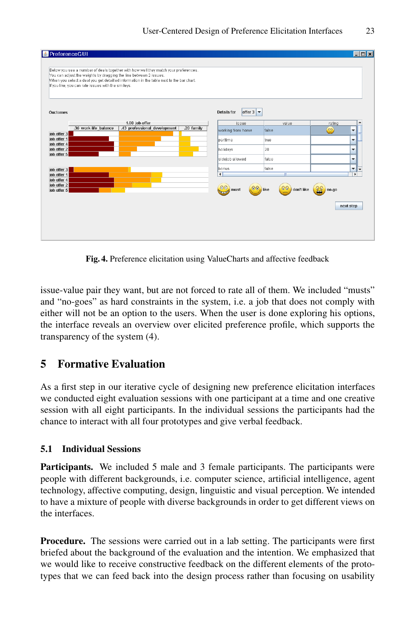|                            | You can adjust the weights by dragging the line between 2 issues.<br>If you like, you can rate issues with the smileys. | Below you see a number of deals together with how well they match your preferences.<br>Mhen you select a deal you get detailled information in the table next to the bar chart. |            |                                         |                                |            |                            |
|----------------------------|-------------------------------------------------------------------------------------------------------------------------|---------------------------------------------------------------------------------------------------------------------------------------------------------------------------------|------------|-----------------------------------------|--------------------------------|------------|----------------------------|
| <b>Ouctomes</b>            |                                                                                                                         |                                                                                                                                                                                 |            | <b>Details for</b><br>offer $3 \bullet$ |                                |            |                            |
|                            |                                                                                                                         | 1.00 job-offer<br>.43 professional development                                                                                                                                  | .20 family | issue                                   | value                          | rating     |                            |
| job offer 3                | .36 work-life_balance                                                                                                   |                                                                                                                                                                                 |            | working from home                       | false                          | 69         | $\overline{\phantom{a}}$   |
| job offer 1                |                                                                                                                         |                                                                                                                                                                                 |            | parttime                                | true                           |            | ▼                          |
| job offer 4<br>job offer 2 |                                                                                                                         |                                                                                                                                                                                 |            | holidays                                | 20                             |            |                            |
| job offer 5                |                                                                                                                         |                                                                                                                                                                                 |            |                                         |                                |            | ▼                          |
|                            |                                                                                                                         |                                                                                                                                                                                 |            | sidejob allowed                         | false                          |            | $\overline{\phantom{a}}$   |
| job offer 3                |                                                                                                                         |                                                                                                                                                                                 |            | bonus                                   | false                          |            | $\blacktriangledown$<br>∣⊷ |
| job offer 1                |                                                                                                                         |                                                                                                                                                                                 |            | $\overline{ }$                          |                                |            | $\overline{ }$             |
| job offer 4                |                                                                                                                         |                                                                                                                                                                                 |            |                                         |                                |            |                            |
| job offer 2<br>job offer 5 |                                                                                                                         |                                                                                                                                                                                 |            | 00<br>$\Theta$<br>must                  | $\Theta$<br>don't like<br>like | $QQ$ no-go |                            |
|                            |                                                                                                                         |                                                                                                                                                                                 |            |                                         |                                |            |                            |
|                            |                                                                                                                         |                                                                                                                                                                                 |            |                                         |                                | next step  |                            |
|                            |                                                                                                                         |                                                                                                                                                                                 |            |                                         |                                |            |                            |

**Fig. 4.** Preference elicitation using ValueCharts and affective feedback

issue-value pair they want, but are not forced to rate all of them. We included "musts" and "no-goes" as hard constraints in the system, i.e. a job that does not comply with either will not be an option to the users. When the user is done exploring his options, the interface reveals an overview over elicited preference profile, which supports the transparency of the system (4).

# **5 Formative Evaluation**

As a first step in our iterative cycle of designing new preference elicitation interfaces we conducted eight evaluation sessions with one participant at a time and one creative session with all eight participants. In the individual sessions the participants had the chance to interact with all four prototypes and give verbal feedback.

### **5.1 Individual Sessions**

**Participants.** We included 5 male and 3 female participants. The participants were people with different backgrounds, i.e. computer science, artificial intelligence, agent technology, affective computing, design, linguistic and visual perception. We intended to have a mixture of people with diverse backgrounds in order to get different views on the interfaces.

**Procedure.** The sessions were carried out in a lab setting. The participants were first briefed about the background of the evaluation and the intention. We emphasized that we would like to receive constructive feedback on the different elements of the prototypes that we can feed back into the design process rather than focusing on usability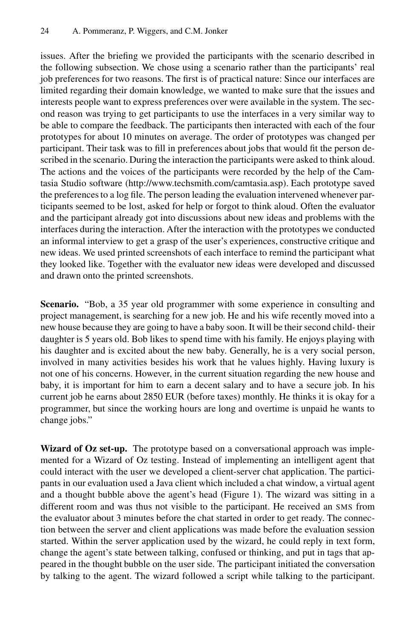issues. After the briefing we provided the participants with the scenario described in the following subsection. We chose using a scenario rather than the participants' real job preferences for two reasons. The first is of practical nature: Since our interfaces are limited regarding their domain knowledge, we wanted to make sure that the issues and interests people want to express preferences over were available in the system. The second reason was trying to get participants to use the interfaces in a very similar way to be able to compare the feedback. The participants then interacted with each of the four prototypes for about 10 minutes on average. The order of prototypes was changed per participant. Their task was to fill in preferences about jobs that would fit the person described in the scenario. During the interaction the participants were asked to think aloud. The actions and the voices of the participants were recorded by the help of the Camtasia Studio software (http://www.techsmith.com/camtasia.asp). Each prototype saved the preferences to a log file. The person leading the evaluation intervened whenever participants seemed to be lost, asked for help or forgot to think aloud. Often the evaluator and the participant already got into discussions about new ideas and problems with the interfaces during the interaction. After the interaction with the prototypes we conducted an informal interview to get a grasp of the user's experiences, constructive critique and new ideas. We used printed screenshots of each interface to remind the participant what they looked like. Together with the evaluator new ideas were developed and discussed and drawn onto the printed screenshots.

**Scenario.** "Bob, a 35 year old programmer with some experience in consulting and project management, is searching for a new job. He and his wife recently moved into a new house because they are going to have a baby soon. It will be their second child- their daughter is 5 years old. Bob likes to spend time with his family. He enjoys playing with his daughter and is excited about the new baby. Generally, he is a very social person, involved in many activities besides his work that he values highly. Having luxury is not one of his concerns. However, in the current situation regarding the new house and baby, it is important for him to earn a decent salary and to have a secure job. In his current job he earns about 2850 EUR (before taxes) monthly. He thinks it is okay for a programmer, but since the working hours are long and overtime is unpaid he wants to change jobs."

**Wizard of Oz set-up.** The prototype based on a conversational approach was implemented for a Wizard of Oz testing. Instead of implementing an intelligent agent that could interact with the user we developed a client-server chat application. The participants in our evaluation used a Java client which included a chat window, a virtual agent and a thought bubble above the agent's head (Figure 1). The wizard was sitting in a different room and was thus not visible to the participant. He received an SMS from the evaluator about 3 minutes before the chat started in order to get ready. The connection between the server and client applications was made before the evaluation session started. Within the server application used by the wizard, he could reply in text form, change the agent's state between talking, confused or thinking, and put in tags that appeared in the thought bubble on the user side. The participant initiated the conversation by talking to the agent. The wizard followed a script while talking to the participant.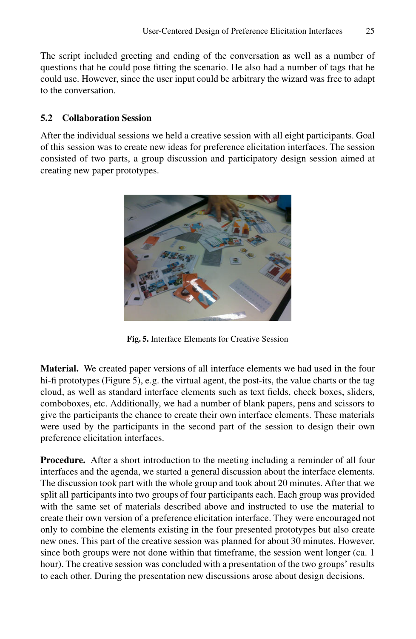The script included greeting and ending of the conversation as well as a number of questions that he could pose fitting the scenario. He also had a number of tags that he could use. However, since the user input could be arbitrary the wizard was free to adapt to the conversation.

# **5.2 Collaboration Session**

After the individual sessions we held a creative session with all eight participants. Goal of this session was to create new ideas for preference elicitation interfaces. The session consisted of two parts, a group discussion and participatory design session aimed at creating new paper prototypes.



**Fig. 5.** Interface Elements for Creative Session

**Material.** We created paper versions of all interface elements we had used in the four hi-fi prototypes (Figure 5), e.g. the virtual agent, the post-its, the value charts or the tag cloud, as well as standard interface elements such as text fields, check boxes, sliders, comboboxes, etc. Additionally, we had a number of blank papers, pens and scissors to give the participants the chance to create their own interface elements. These materials were used by the participants in the second part of the session to design their own preference elicitation interfaces.

**Procedure.** After a short introduction to the meeting including a reminder of all four interfaces and the agenda, we started a general discussion about the interface elements. The discussion took part with the whole group and took about 20 minutes. After that we split all participants into two groups of four participants each. Each group was provided with the same set of materials described above and instructed to use the material to create their own version of a preference elicitation interface. They were encouraged not only to combine the elements existing in the four presented prototypes but also create new ones. This part of the creative session was planned for about 30 minutes. However, since both groups were not done within that timeframe, the session went longer (ca. 1 hour). The creative session was concluded with a presentation of the two groups' results to each other. During the presentation new discussions arose about design decisions.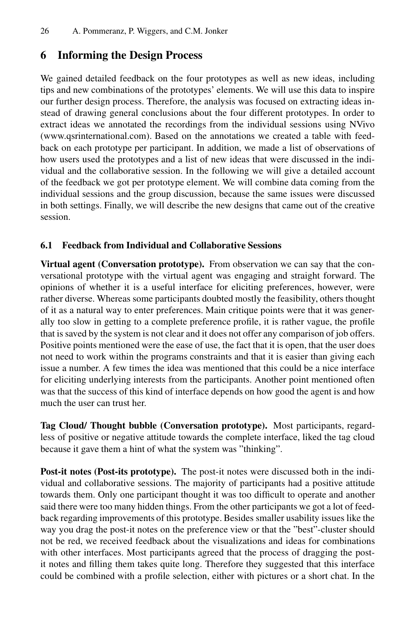# **6 Informing the Design Process**

We gained detailed feedback on the four prototypes as well as new ideas, including tips and new combinations of the prototypes' elements. We will use this data to inspire our further design process. Therefore, the analysis was focused on extracting ideas instead of drawing general conclusions about the four different prototypes. In order to extract ideas we annotated the recordings from the individual sessions using NVivo (www.qsrinternational.com). Based on the annotations we created a table with feedback on each prototype per participant. In addition, we made a list of observations of how users used the prototypes and a list of new ideas that were discussed in the individual and the collaborative session. In the following we will give a detailed account of the feedback we got per prototype element. We will combine data coming from the individual sessions and the group discussion, because the same issues were discussed in both settings. Finally, we will describe the new designs that came out of the creative session.

### **6.1 Feedback from Individual and Collaborative Sessions**

**Virtual agent (Conversation prototype).** From observation we can say that the conversational prototype with the virtual agent was engaging and straight forward. The opinions of whether it is a useful interface for eliciting preferences, however, were rather diverse. Whereas some participants doubted mostly the feasibility, others thought of it as a natural way to enter preferences. Main critique points were that it was generally too slow in getting to a complete preference profile, it is rather vague, the profile that is saved by the system is not clear and it does not offer any comparison of job offers. Positive points mentioned were the ease of use, the fact that it is open, that the user does not need to work within the programs constraints and that it is easier than giving each issue a number. A few times the idea was mentioned that this could be a nice interface for eliciting underlying interests from the participants. Another point mentioned often was that the success of this kind of interface depends on how good the agent is and how much the user can trust her.

**Tag Cloud/ Thought bubble (Conversation prototype).** Most participants, regardless of positive or negative attitude towards the complete interface, liked the tag cloud because it gave them a hint of what the system was "thinking".

**Post-it notes (Post-its prototype).** The post-it notes were discussed both in the individual and collaborative sessions. The majority of participants had a positive attitude towards them. Only one participant thought it was too difficult to operate and another said there were too many hidden things. From the other participants we got a lot of feedback regarding improvements of this prototype. Besides smaller usability issues like the way you drag the post-it notes on the preference view or that the "best"-cluster should not be red, we received feedback about the visualizations and ideas for combinations with other interfaces. Most participants agreed that the process of dragging the postit notes and filling them takes quite long. Therefore they suggested that this interface could be combined with a profile selection, either with pictures or a short chat. In the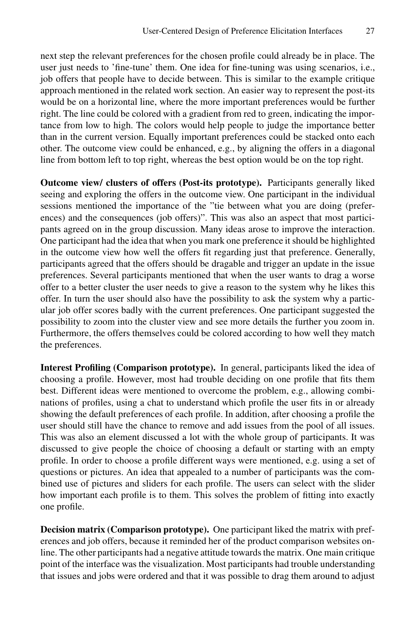next step the relevant preferences for the chosen profile could already be in place. The user just needs to 'fine-tune' them. One idea for fine-tuning was using scenarios, i.e., job offers that people have to decide between. This is similar to the example critique approach mentioned in the related work section. An easier way to represent the post-its would be on a horizontal line, where the more important preferences would be further right. The line could be colored with a gradient from red to green, indicating the importance from low to high. The colors would help people to judge the importance better than in the current version. Equally important preferences could be stacked onto each other. The outcome view could be enhanced, e.g., by aligning the offers in a diagonal line from bottom left to top right, whereas the best option would be on the top right.

**Outcome view/ clusters of offers (Post-its prototype).** Participants generally liked seeing and exploring the offers in the outcome view. One participant in the individual sessions mentioned the importance of the "tie between what you are doing (preferences) and the consequences (job offers)". This was also an aspect that most participants agreed on in the group discussion. Many ideas arose to improve the interaction. One participant had the idea that when you mark one preference it should be highlighted in the outcome view how well the offers fit regarding just that preference. Generally, participants agreed that the offers should be dragable and trigger an update in the issue preferences. Several participants mentioned that when the user wants to drag a worse offer to a better cluster the user needs to give a reason to the system why he likes this offer. In turn the user should also have the possibility to ask the system why a particular job offer scores badly with the current preferences. One participant suggested the possibility to zoom into the cluster view and see more details the further you zoom in. Furthermore, the offers themselves could be colored according to how well they match the preferences.

**Interest Profiling (Comparison prototype).** In general, participants liked the idea of choosing a profile. However, most had trouble deciding on one profile that fits them best. Different ideas were mentioned to overcome the problem, e.g., allowing combinations of profiles, using a chat to understand which profile the user fits in or already showing the default preferences of each profile. In addition, after choosing a profile the user should still have the chance to remove and add issues from the pool of all issues. This was also an element discussed a lot with the whole group of participants. It was discussed to give people the choice of choosing a default or starting with an empty profile. In order to choose a profile different ways were mentioned, e.g. using a set of questions or pictures. An idea that appealed to a number of participants was the combined use of pictures and sliders for each profile. The users can select with the slider how important each profile is to them. This solves the problem of fitting into exactly one profile.

**Decision matrix (Comparison prototype).** One participant liked the matrix with preferences and job offers, because it reminded her of the product comparison websites online. The other participants had a negative attitude towards the matrix. One main critique point of the interface was the visualization. Most participants had trouble understanding that issues and jobs were ordered and that it was possible to drag them around to adjust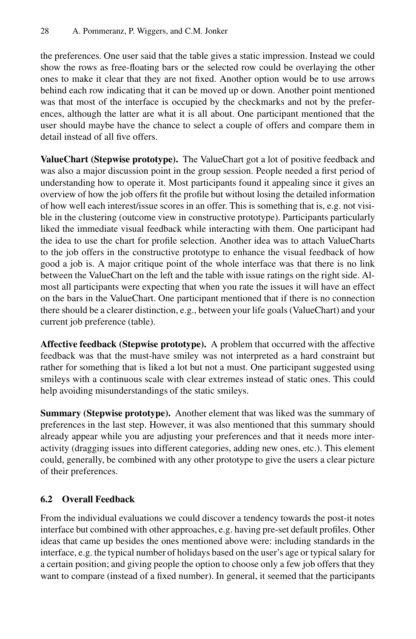the preferences. One user said that the table gives a static impression. Instead we could show the rows as free-floating bars or the selected row could be overlaying the other ones to make it clear that they are not fixed. Another option would be to use arrows behind each row indicating that it can be moved up or down. Another point mentioned was that most of the interface is occupied by the checkmarks and not by the preferences, although the latter are what it is all about. One participant mentioned that the user should maybe have the chance to select a couple of offers and compare them in detail instead of all five offers.

**ValueChart (Stepwise prototype).** The ValueChart got a lot of positive feedback and was also a major discussion point in the group session. People needed a first period of understanding how to operate it. Most participants found it appealing since it gives an overview of how the job offers fit the profile but without losing the detailed information of how well each interest/issue scores in an offer. This is something that is, e.g. not visible in the clustering (outcome view in constructive prototype). Participants particularly liked the immediate visual feedback while interacting with them. One participant had the idea to use the chart for profile selection. Another idea was to attach ValueCharts to the job offers in the constructive prototype to enhance the visual feedback of how good a job is. A major critique point of the whole interface was that there is no link between the ValueChart on the left and the table with issue ratings on the right side. Almost all participants were expecting that when you rate the issues it will have an effect on the bars in the ValueChart. One participant mentioned that if there is no connection there should be a clearer distinction, e.g., between your life goals (ValueChart) and your current job preference (table).

**Affective feedback (Stepwise prototype).** A problem that occurred with the affective feedback was that the must-have smiley was not interpreted as a hard constraint but rather for something that is liked a lot but not a must. One participant suggested using smileys with a continuous scale with clear extremes instead of static ones. This could help avoiding misunderstandings of the static smileys.

**Summary (Stepwise prototype).** Another element that was liked was the summary of preferences in the last step. However, it was also mentioned that this summary should already appear while you are adjusting your preferences and that it needs more interactivity (dragging issues into different categories, adding new ones, etc.). This element could, generally, be combined with any other prototype to give the users a clear picture of their preferences.

### **6.2 Overall Feedback**

From the individual evaluations we could discover a tendency towards the post-it notes interface but combined with other approaches, e.g. having pre-set default profiles. Other ideas that came up besides the ones mentioned above were: including standards in the interface, e.g. the typical number of holidays based on the user's age or typical salary for a certain position; and giving people the option to choose only a few job offers that they want to compare (instead of a fixed number). In general, it seemed that the participants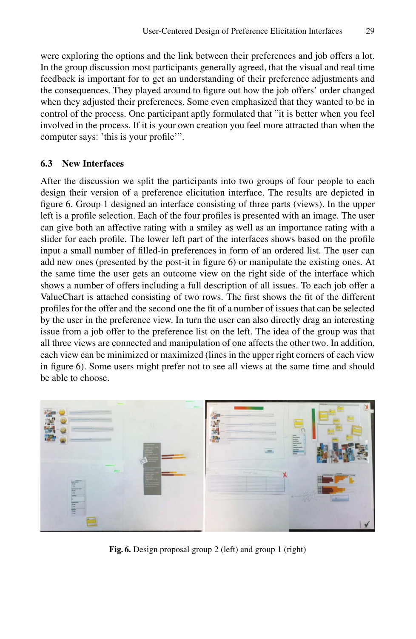were exploring the options and the link between their preferences and job offers a lot. In the group discussion most participants generally agreed, that the visual and real time feedback is important for to get an understanding of their preference adjustments and the consequences. They played around to figure out how the job offers' order changed when they adjusted their preferences. Some even emphasized that they wanted to be in control of the process. One participant aptly formulated that "it is better when you feel involved in the process. If it is your own creation you feel more attracted than when the computer says: 'this is your profile'".

### **6.3 New Interfaces**

After the discussion we split the participants into two groups of four people to each design their version of a preference elicitation interface. The results are depicted in figure 6. Group 1 designed an interface consisting of three parts (views). In the upper left is a profile selection. Each of the four profiles is presented with an image. The user can give both an affective rating with a smiley as well as an importance rating with a slider for each profile. The lower left part of the interfaces shows based on the profile input a small number of filled-in preferences in form of an ordered list. The user can add new ones (presented by the post-it in figure 6) or manipulate the existing ones. At the same time the user gets an outcome view on the right side of the interface which shows a number of offers including a full description of all issues. To each job offer a ValueChart is attached consisting of two rows. The first shows the fit of the different profiles for the offer and the second one the fit of a number of issues that can be selected by the user in the preference view. In turn the user can also directly drag an interesting issue from a job offer to the preference list on the left. The idea of the group was that all three views are connected and manipulation of one affects the other two. In addition, each view can be minimized or maximized (lines in the upper right corners of each view in figure 6). Some users might prefer not to see all views at the same time and should be able to choose.



**Fig. 6.** Design proposal group 2 (left) and group 1 (right)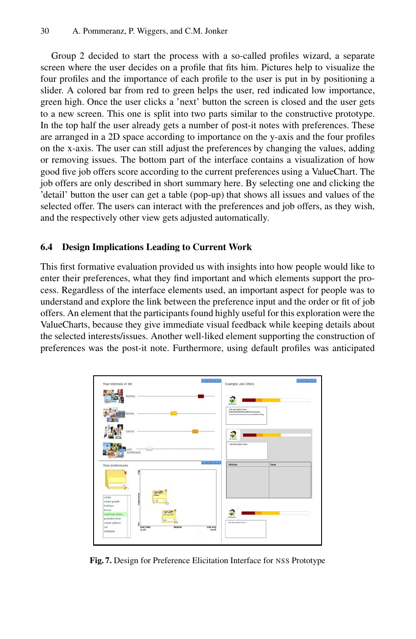Group 2 decided to start the process with a so-called profiles wizard, a separate screen where the user decides on a profile that fits him. Pictures help to visualize the four profiles and the importance of each profile to the user is put in by positioning a slider. A colored bar from red to green helps the user, red indicated low importance, green high. Once the user clicks a 'next' button the screen is closed and the user gets to a new screen. This one is split into two parts similar to the constructive prototype. In the top half the user already gets a number of post-it notes with preferences. These are arranged in a 2D space according to importance on the y-axis and the four profiles on the x-axis. The user can still adjust the preferences by changing the values, adding or removing issues. The bottom part of the interface contains a visualization of how good five job offers score according to the current preferences using a ValueChart. The job offers are only described in short summary here. By selecting one and clicking the 'detail' button the user can get a table (pop-up) that shows all issues and values of the selected offer. The users can interact with the preferences and job offers, as they wish, and the respectively other view gets adjusted automatically.

### **6.4 Design Implications Leading to Current Work**

This first formative evaluation provided us with insights into how people would like to enter their preferences, what they find important and which elements support the process. Regardless of the interface elements used, an important aspect for people was to understand and explore the link between the preference input and the order or fit of job offers. An element that the participants found highly useful for this exploration were the ValueCharts, because they give immediate visual feedback while keeping details about the selected interests/issues. Another well-liked element supporting the construction of preferences was the post-it note. Furthermore, using default profiles was anticipated



**Fig. 7.** Design for Preference Elicitation Interface for NSS Prototype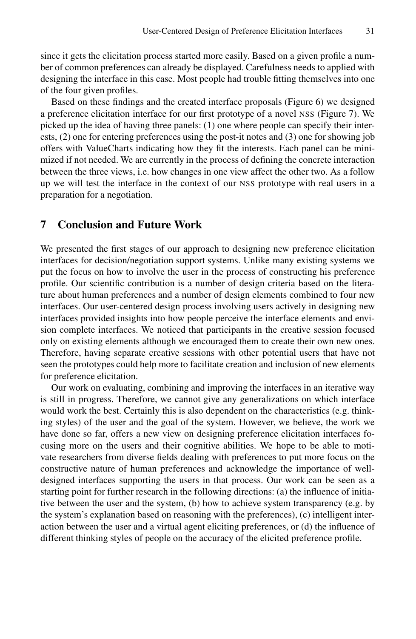since it gets the elicitation process started more easily. Based on a given profile a number of common preferences can already be displayed. Carefulness needs to applied with designing the interface in this case. Most people had trouble fitting themselves into one of the four given profiles.

Based on these findings and the created interface proposals (Figure 6) we designed a preference elicitation interface for our first prototype of a novel NSS (Figure 7). We picked up the idea of having three panels: (1) one where people can specify their interests, (2) one for entering preferences using the post-it notes and (3) one for showing job offers with ValueCharts indicating how they fit the interests. Each panel can be minimized if not needed. We are currently in the process of defining the concrete interaction between the three views, i.e. how changes in one view affect the other two. As a follow up we will test the interface in the context of our NSS prototype with real users in a preparation for a negotiation.

### **7 Conclusion and Future Work**

We presented the first stages of our approach to designing new preference elicitation interfaces for decision/negotiation support systems. Unlike many existing systems we put the focus on how to involve the user in the process of constructing his preference profile. Our scientific contribution is a number of design criteria based on the literature about human preferences and a number of design elements combined to four new interfaces. Our user-centered design process involving users actively in designing new interfaces provided insights into how people perceive the interface elements and envision complete interfaces. We noticed that participants in the creative session focused only on existing elements although we encouraged them to create their own new ones. Therefore, having separate creative sessions with other potential users that have not seen the prototypes could help more to facilitate creation and inclusion of new elements for preference elicitation.

Our work on evaluating, combining and improving the interfaces in an iterative way is still in progress. Therefore, we cannot give any generalizations on which interface would work the best. Certainly this is also dependent on the characteristics (e.g. thinking styles) of the user and the goal of the system. However, we believe, the work we have done so far, offers a new view on designing preference elicitation interfaces focusing more on the users and their cognitive abilities. We hope to be able to motivate researchers from diverse fields dealing with preferences to put more focus on the constructive nature of human preferences and acknowledge the importance of welldesigned interfaces supporting the users in that process. Our work can be seen as a starting point for further research in the following directions: (a) the influence of initiative between the user and the system, (b) how to achieve system transparency (e.g. by the system's explanation based on reasoning with the preferences), (c) intelligent interaction between the user and a virtual agent eliciting preferences, or (d) the influence of different thinking styles of people on the accuracy of the elicited preference profile.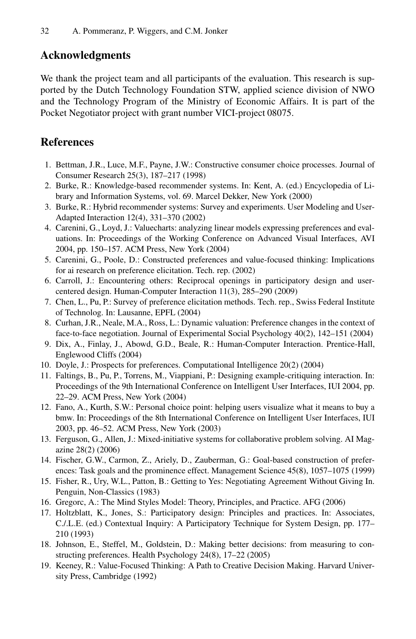# **Acknowledgments**

We thank the project team and all participants of the evaluation. This research is supported by the Dutch Technology Foundation STW, applied science division of NWO and the Technology Program of the Ministry of Economic Affairs. It is part of the Pocket Negotiator project with grant number VICI-project 08075.

# **References**

- <span id="page-18-3"></span>1. Bettman, J.R., Luce, M.F., Payne, J.W.: Constructive consumer choice processes. Journal of Consumer Research 25(3), 187–217 (1998)
- 2. Burke, R.: Knowledge-based recommender systems. In: Kent, A. (ed.) Encyclopedia of Library and Information Systems, vol. 69. Marcel Dekker, New York (2000)
- 3. Burke, R.: Hybrid recommender systems: Survey and experiments. User Modeling and User-Adapted Interaction 12(4), 331–370 (2002)
- <span id="page-18-8"></span>4. Carenini, G., Loyd, J.: Valuecharts: analyzing linear models expressing preferences and evaluations. In: Proceedings of the Working Conference on Advanced Visual Interfaces, AVI 2004, pp. 150–157. ACM Press, New York (2004)
- <span id="page-18-1"></span>5. Carenini, G., Poole, D.: Constructed preferences and value-focused thinking: Implications for ai research on preference elicitation. Tech. rep. (2002)
- <span id="page-18-5"></span>6. Carroll, J.: Encountering others: Reciprocal openings in participatory design and usercentered design. Human-Computer Interaction 11(3), 285–290 (2009)
- 7. Chen, L., Pu, P.: Survey of preference elicitation methods. Tech. rep., Swiss Federal Institute of Technolog. In: Lausanne, EPFL (2004)
- <span id="page-18-2"></span>8. Curhan, J.R., Neale, M.A., Ross, L.: Dynamic valuation: Preference changes in the context of face-to-face negotiation. Journal of Experimental Social Psychology 40(2), 142–151 (2004)
- 9. Dix, A., Finlay, J., Abowd, G.D., Beale, R.: Human-Computer Interaction. Prentice-Hall, Englewood Cliffs (2004)
- 10. Doyle, J.: Prospects for preferences. Computational Intelligence 20(2) (2004)
- 11. Faltings, B., Pu, P., Torrens, M., Viappiani, P.: Designing example-critiquing interaction. In: Proceedings of the 9th International Conference on Intelligent User Interfaces, IUI 2004, pp. 22–29. ACM Press, New York (2004)
- <span id="page-18-6"></span>12. Fano, A., Kurth, S.W.: Personal choice point: helping users visualize what it means to buy a bmw. In: Proceedings of the 8th International Conference on Intelligent User Interfaces, IUI 2003, pp. 46–52. ACM Press, New York (2003)
- <span id="page-18-7"></span>13. Ferguson, G., Allen, J.: Mixed-initiative systems for collaborative problem solving. AI Magazine 28(2) (2006)
- <span id="page-18-4"></span>14. Fischer, G.W., Carmon, Z., Ariely, D., Zauberman, G.: Goal-based construction of preferences: Task goals and the prominence effect. Management Science 45(8), 1057–1075 (1999)
- 15. Fisher, R., Ury, W.L., Patton, B.: Getting to Yes: Negotiating Agreement Without Giving In. Penguin, Non-Classics (1983)
- <span id="page-18-9"></span>16. Gregorc, A.: The Mind Styles Model: Theory, Principles, and Practice. AFG (2006)
- 17. Holtzblatt, K., Jones, S.: Participatory design: Principles and practices. In: Associates, C./.L.E. (ed.) Contextual Inquiry: A Participatory Technique for System Design, pp. 177– 210 (1993)
- <span id="page-18-0"></span>18. Johnson, E., Steffel, M., Goldstein, D.: Making better decisions: from measuring to constructing preferences. Health Psychology 24(8), 17–22 (2005)
- <span id="page-18-10"></span>19. Keeney, R.: Value-Focused Thinking: A Path to Creative Decision Making. Harvard University Press, Cambridge (1992)